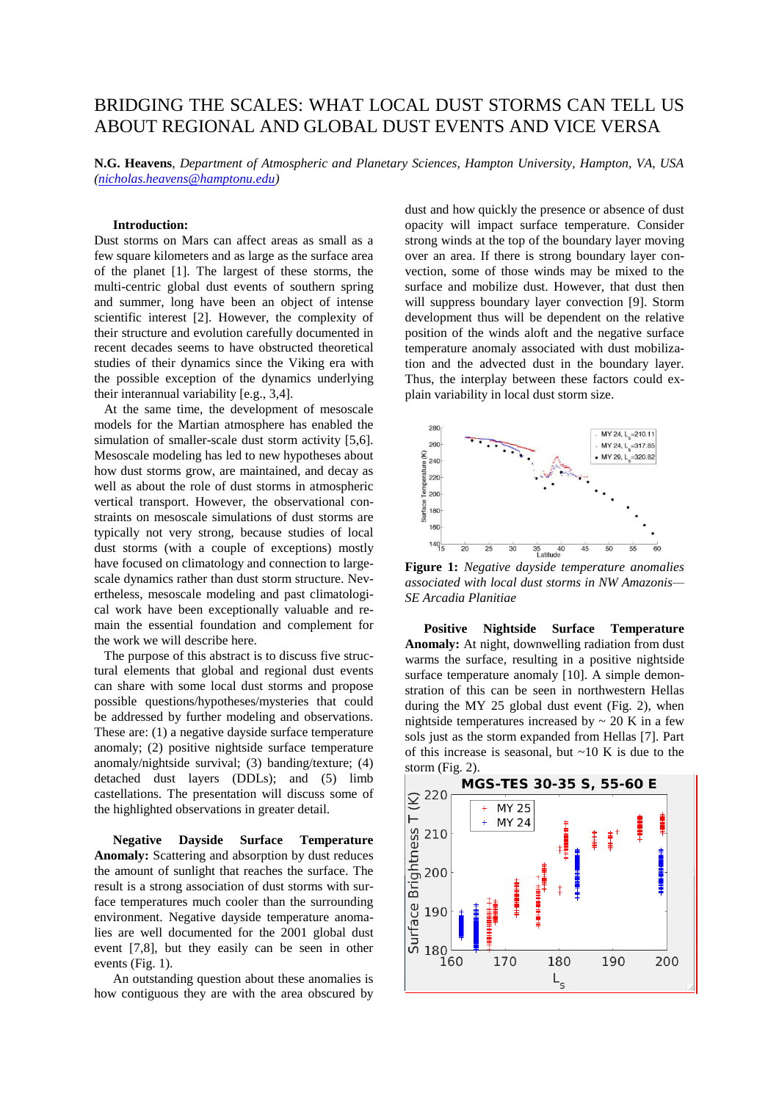## BRIDGING THE SCALES: WHAT LOCAL DUST STORMS CAN TELL US ABOUT REGIONAL AND GLOBAL DUST EVENTS AND VICE VERSA

**N.G. Heavens**, *Department of Atmospheric and Planetary Sciences, Hampton University, Hampton, VA, USA [\(nicholas.heavens@hamptonu.edu\)](mailto:nicholas.heavens@hamptonu.edu)*

## **Introduction:**

Dust storms on Mars can affect areas as small as a few square kilometers and as large as the surface area of the planet [1]. The largest of these storms, the multi-centric global dust events of southern spring and summer, long have been an object of intense scientific interest [2]. However, the complexity of their structure and evolution carefully documented in recent decades seems to have obstructed theoretical studies of their dynamics since the Viking era with the possible exception of the dynamics underlying their interannual variability [e.g., 3,4].

 At the same time, the development of mesoscale models for the Martian atmosphere has enabled the simulation of smaller-scale dust storm activity [5,6]. Mesoscale modeling has led to new hypotheses about how dust storms grow, are maintained, and decay as well as about the role of dust storms in atmospheric vertical transport. However, the observational constraints on mesoscale simulations of dust storms are typically not very strong, because studies of local dust storms (with a couple of exceptions) mostly have focused on climatology and connection to largescale dynamics rather than dust storm structure. Nevertheless, mesoscale modeling and past climatological work have been exceptionally valuable and remain the essential foundation and complement for the work we will describe here.

 The purpose of this abstract is to discuss five structural elements that global and regional dust events can share with some local dust storms and propose possible questions/hypotheses/mysteries that could be addressed by further modeling and observations. These are: (1) a negative dayside surface temperature anomaly; (2) positive nightside surface temperature anomaly/nightside survival; (3) banding/texture; (4) detached dust layers (DDLs); and (5) limb castellations. The presentation will discuss some of the highlighted observations in greater detail.

**Negative Dayside Surface Temperature Anomaly:** Scattering and absorption by dust reduces the amount of sunlight that reaches the surface. The result is a strong association of dust storms with surface temperatures much cooler than the surrounding environment. Negative dayside temperature anomalies are well documented for the 2001 global dust event [7,8], but they easily can be seen in other events (Fig. 1).

An outstanding question about these anomalies is how contiguous they are with the area obscured by dust and how quickly the presence or absence of dust opacity will impact surface temperature. Consider strong winds at the top of the boundary layer moving over an area. If there is strong boundary layer convection, some of those winds may be mixed to the surface and mobilize dust. However, that dust then will suppress boundary layer convection [9]. Storm development thus will be dependent on the relative position of the winds aloft and the negative surface temperature anomaly associated with dust mobilization and the advected dust in the boundary layer. Thus, the interplay between these factors could explain variability in local dust storm size.



**Figure 1:** *Negative dayside temperature anomalies associated with local dust storms in NW Amazonis— SE Arcadia Planitiae*

**Positive Nightside Surface Temperature Anomaly:** At night, downwelling radiation from dust warms the surface, resulting in a positive nightside surface temperature anomaly [10]. A simple demonstration of this can be seen in northwestern Hellas during the MY 25 global dust event (Fig. 2), when nightside temperatures increased by  $\sim$  20 K in a few sols just as the storm expanded from Hellas [7]. Part of this increase is seasonal, but  $\sim$ 10 K is due to the storm (Fig. 2).

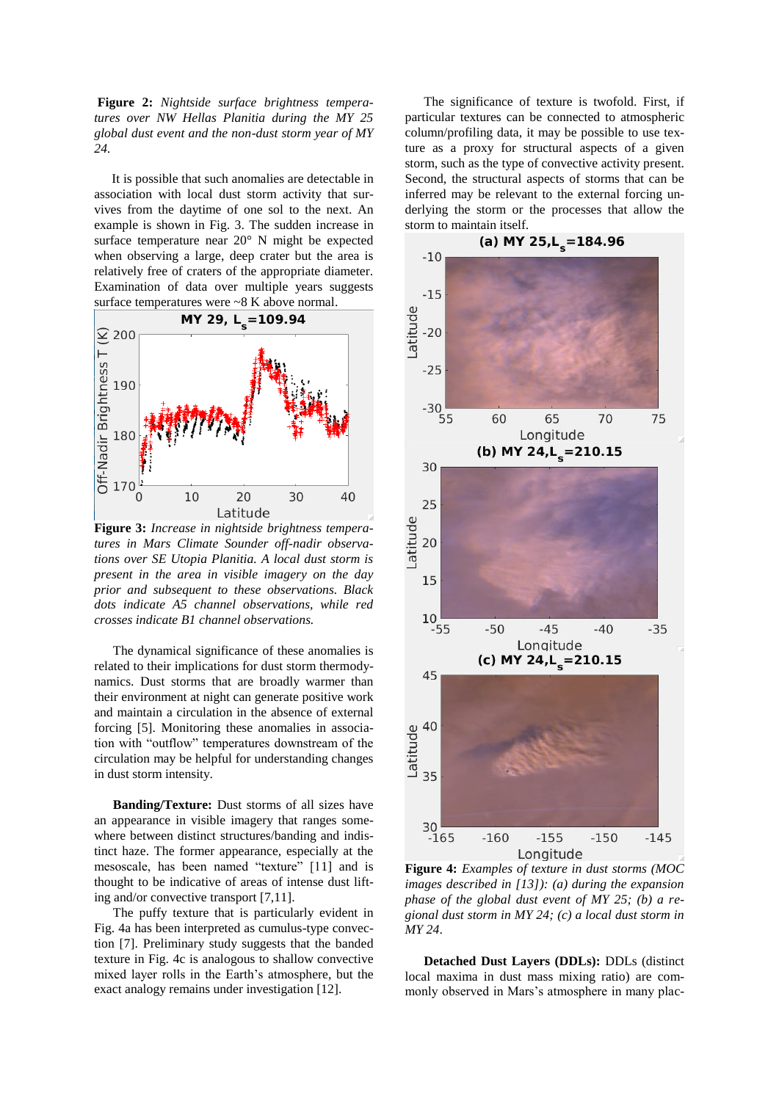**Figure 2:** *Nightside surface brightness temperatures over NW Hellas Planitia during the MY 25 global dust event and the non-dust storm year of MY 24.*

It is possible that such anomalies are detectable in association with local dust storm activity that survives from the daytime of one sol to the next. An example is shown in Fig. 3. The sudden increase in surface temperature near 20° N might be expected when observing a large, deep crater but the area is relatively free of craters of the appropriate diameter. Examination of data over multiple years suggests surface temperatures were ~8 K above normal.



**Figure 3:** *Increase in nightside brightness temperatures in Mars Climate Sounder off-nadir observations over SE Utopia Planitia. A local dust storm is present in the area in visible imagery on the day prior and subsequent to these observations. Black dots indicate A5 channel observations, while red crosses indicate B1 channel observations.*

The dynamical significance of these anomalies is related to their implications for dust storm thermodynamics. Dust storms that are broadly warmer than their environment at night can generate positive work and maintain a circulation in the absence of external forcing [5]. Monitoring these anomalies in association with "outflow" temperatures downstream of the circulation may be helpful for understanding changes in dust storm intensity.

**Banding/Texture:** Dust storms of all sizes have an appearance in visible imagery that ranges somewhere between distinct structures/banding and indistinct haze. The former appearance, especially at the mesoscale, has been named "texture" [11] and is thought to be indicative of areas of intense dust lifting and/or convective transport [7,11].

The puffy texture that is particularly evident in Fig. 4a has been interpreted as cumulus-type convection [7]. Preliminary study suggests that the banded texture in Fig. 4c is analogous to shallow convective mixed layer rolls in the Earth's atmosphere, but the exact analogy remains under investigation [12].

The significance of texture is twofold. First, if particular textures can be connected to atmospheric column/profiling data, it may be possible to use texture as a proxy for structural aspects of a given storm, such as the type of convective activity present. Second, the structural aspects of storms that can be inferred may be relevant to the external forcing underlying the storm or the processes that allow the storm to maintain itself.



**Figure 4:** *Examples of texture in dust storms (MOC images described in [13]): (a) during the expansion phase of the global dust event of MY 25; (b) a regional dust storm in MY 24; (c) a local dust storm in MY 24*.

**Detached Dust Layers (DDLs):** DDLs (distinct local maxima in dust mass mixing ratio) are commonly observed in Mars's atmosphere in many plac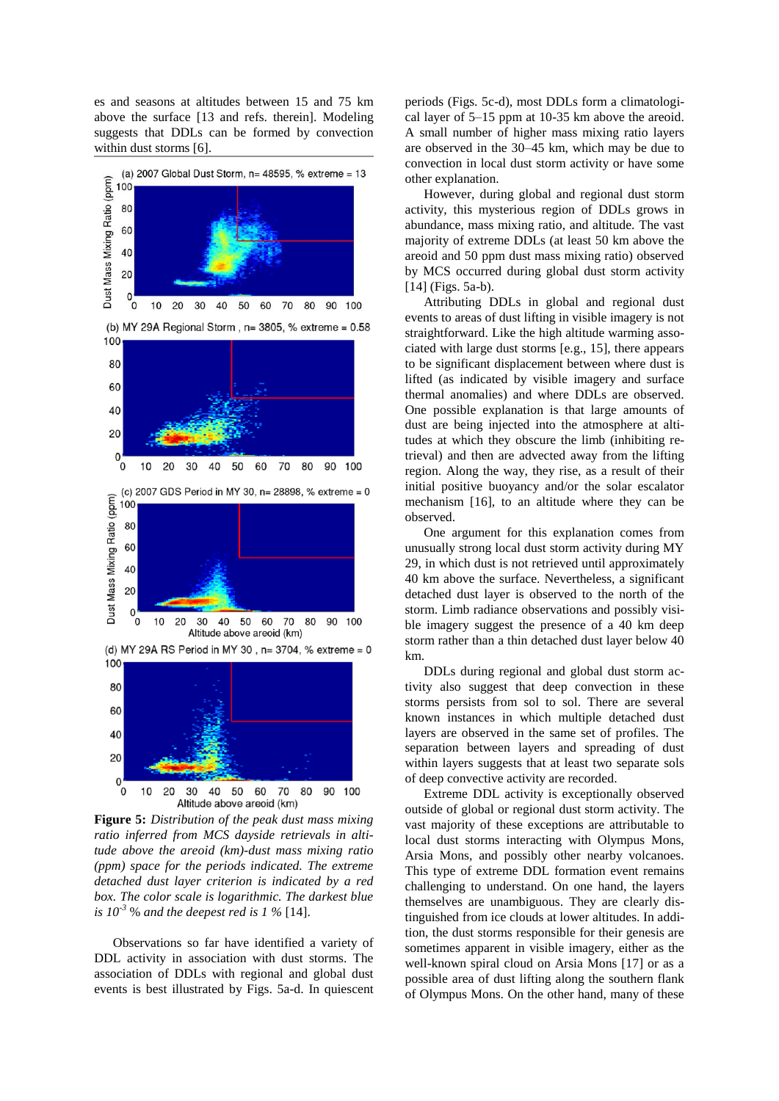es and seasons at altitudes between 15 and 75 km above the surface [13 and refs. therein]. Modeling suggests that DDLs can be formed by convection within dust storms [6].



**Figure 5:** *Distribution of the peak dust mass mixing ratio inferred from MCS dayside retrievals in altitude above the areoid (km)-dust mass mixing ratio (ppm) space for the periods indicated. The extreme detached dust layer criterion is indicated by a red box. The color scale is logarithmic. The darkest blue is 10-3* % *and the deepest red is 1 %* [14].

Observations so far have identified a variety of DDL activity in association with dust storms. The association of DDLs with regional and global dust events is best illustrated by Figs. 5a-d. In quiescent

periods (Figs. 5c-d), most DDLs form a climatological layer of 5–15 ppm at 10-35 km above the areoid. A small number of higher mass mixing ratio layers are observed in the 30–45 km, which may be due to convection in local dust storm activity or have some other explanation.

However, during global and regional dust storm activity, this mysterious region of DDLs grows in abundance, mass mixing ratio, and altitude. The vast majority of extreme DDLs (at least 50 km above the areoid and 50 ppm dust mass mixing ratio) observed by MCS occurred during global dust storm activity [14] (Figs. 5a-b).

Attributing DDLs in global and regional dust events to areas of dust lifting in visible imagery is not straightforward. Like the high altitude warming associated with large dust storms [e.g., 15], there appears to be significant displacement between where dust is lifted (as indicated by visible imagery and surface thermal anomalies) and where DDLs are observed. One possible explanation is that large amounts of dust are being injected into the atmosphere at altitudes at which they obscure the limb (inhibiting retrieval) and then are advected away from the lifting region. Along the way, they rise, as a result of their initial positive buoyancy and/or the solar escalator mechanism [16], to an altitude where they can be observed.

One argument for this explanation comes from unusually strong local dust storm activity during MY 29, in which dust is not retrieved until approximately 40 km above the surface. Nevertheless, a significant detached dust layer is observed to the north of the storm. Limb radiance observations and possibly visible imagery suggest the presence of a 40 km deep storm rather than a thin detached dust layer below 40 km.

DDLs during regional and global dust storm activity also suggest that deep convection in these storms persists from sol to sol. There are several known instances in which multiple detached dust layers are observed in the same set of profiles. The separation between layers and spreading of dust within layers suggests that at least two separate sols of deep convective activity are recorded.

Extreme DDL activity is exceptionally observed outside of global or regional dust storm activity. The vast majority of these exceptions are attributable to local dust storms interacting with Olympus Mons, Arsia Mons, and possibly other nearby volcanoes. This type of extreme DDL formation event remains challenging to understand. On one hand, the layers themselves are unambiguous. They are clearly distinguished from ice clouds at lower altitudes. In addition, the dust storms responsible for their genesis are sometimes apparent in visible imagery, either as the well-known spiral cloud on Arsia Mons [17] or as a possible area of dust lifting along the southern flank of Olympus Mons. On the other hand, many of these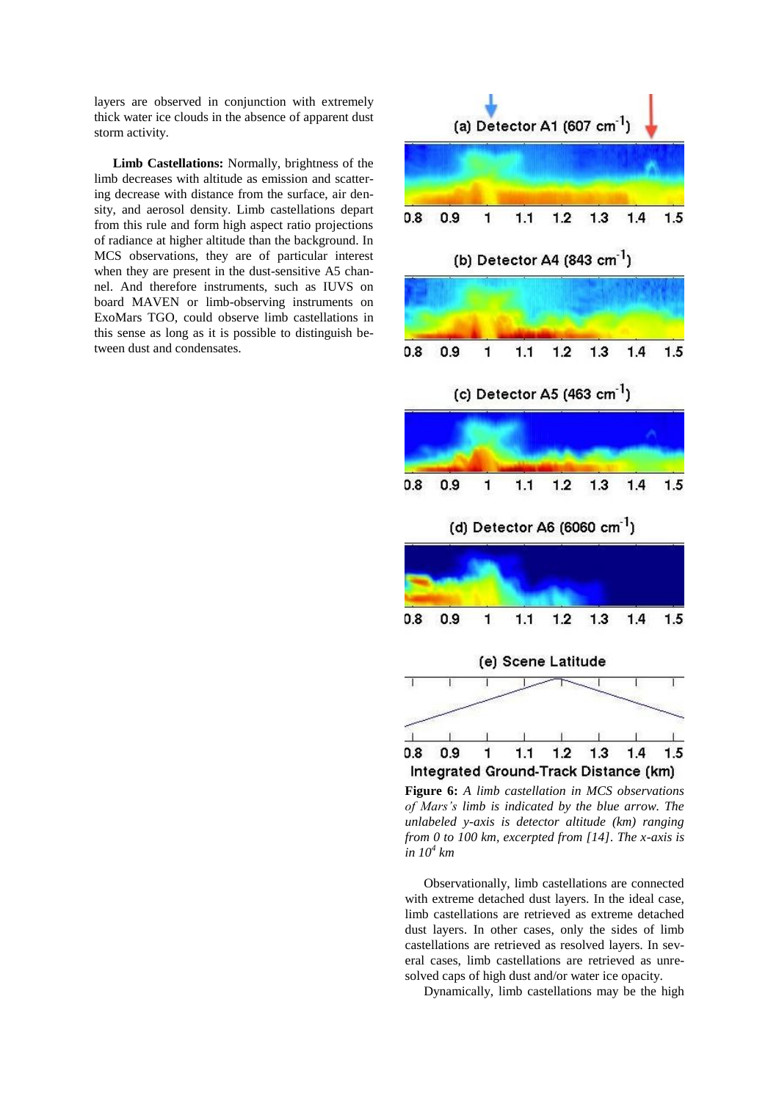layers are observed in conjunction with extremely thick water ice clouds in the absence of apparent dust storm activity.

**Limb Castellations:** Normally, brightness of the limb decreases with altitude as emission and scattering decrease with distance from the surface, air density, and aerosol density. Limb castellations depart from this rule and form high aspect ratio projections of radiance at higher altitude than the background. In MCS observations, they are of particular interest when they are present in the dust-sensitive A5 channel. And therefore instruments, such as IUVS on board MAVEN or limb-observing instruments on ExoMars TGO, could observe limb castellations in this sense as long as it is possible to distinguish between dust and condensates.



**Figure 6:** *A limb castellation in MCS observations of Mars's limb is indicated by the blue arrow. The unlabeled y-axis is detector altitude (km) ranging from 0 to 100 km, excerpted from [14]. The x-axis is in 10<sup>4</sup> km* 

Observationally, limb castellations are connected with extreme detached dust layers. In the ideal case, limb castellations are retrieved as extreme detached dust layers. In other cases, only the sides of limb castellations are retrieved as resolved layers. In several cases, limb castellations are retrieved as unresolved caps of high dust and/or water ice opacity.

Dynamically, limb castellations may be the high